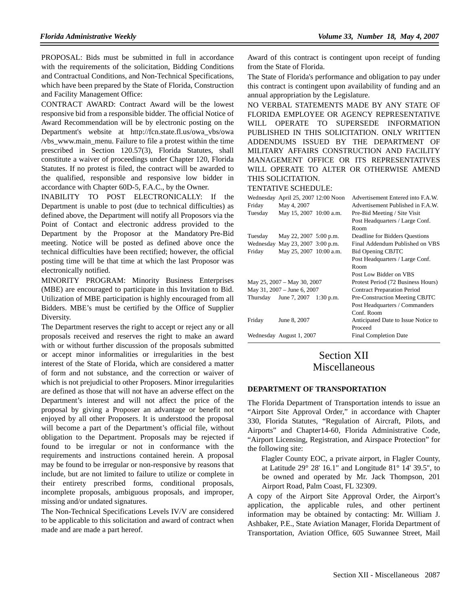PROPOSAL: Bids must be submitted in full in accordance with the requirements of the solicitation, Bidding Conditions and Contractual Conditions, and Non-Technical Specifications, which have been prepared by the State of Florida, Construction and Facility Management Office:

CONTRACT AWARD: Contract Award will be the lowest responsive bid from a responsible bidder. The official Notice of Award Recommendation will be by electronic posting on the Department's website at http://fcn.state.fl.us/owa\_vbs/owa /vbs\_www.main\_menu. Failure to file a protest within the time prescribed in Section 120.57(3), Florida Statutes, shall constitute a waiver of proceedings under Chapter 120, Florida Statutes. If no protest is filed, the contract will be awarded to the qualified, responsible and responsive low bidder in accordance with Chapter 60D-5, F.A.C., by the Owner.

INABILITY TO POST ELECTRONICALLY: If the Department is unable to post (due to technical difficulties) as defined above, the Department will notify all Proposors via the Point of Contact and electronic address provided to the Department by the Proposor at the Mandatory Pre-Bid meeting. Notice will be posted as defined above once the technical difficulties have been rectified; however, the official posting time will be that time at which the last Proposor was electronically notified.

MINORITY PROGRAM: Minority Business Enterprises (MBE) are encouraged to participate in this Invitation to Bid. Utilization of MBE participation is highly encouraged from all Bidders. MBE's must be certified by the Office of Supplier Diversity.

The Department reserves the right to accept or reject any or all proposals received and reserves the right to make an award with or without further discussion of the proposals submitted or accept minor informalities or irregularities in the best interest of the State of Florida, which are considered a matter of form and not substance, and the correction or waiver of which is not prejudicial to other Proposers. Minor irregularities are defined as those that will not have an adverse effect on the Department's interest and will not affect the price of the proposal by giving a Proposer an advantage or benefit not enjoyed by all other Proposers. It is understood the proposal will become a part of the Department's official file, without obligation to the Department. Proposals may be rejected if found to be irregular or not in conformance with the requirements and instructions contained herein. A proposal may be found to be irregular or non-responsive by reasons that include, but are not limited to failure to utilize or complete in their entirety prescribed forms, conditional proposals, incomplete proposals, ambiguous proposals, and improper, missing and/or undated signatures.

The Non-Technical Specifications Levels IV/V are considered to be applicable to this solicitation and award of contract when made and are made a part hereof.

Award of this contract is contingent upon receipt of funding from the State of Florida.

The State of Florida's performance and obligation to pay under this contract is contingent upon availability of funding and an annual appropriation by the Legislature.

NO VERBAL STATEMENTS MADE BY ANY STATE OF FLORIDA EMPLOYEE OR AGENCY REPRESENTATIVE WILL OPERATE TO SUPERSEDE INFORMATION PUBLISHED IN THIS SOLICITATION. ONLY WRITTEN ADDENDUMS ISSUED BY THE DEPARTMENT OF MILITARY AFFAIRS CONSTRUCTION AND FACILITY MANAGEMENT OFFICE OR ITS REPRESENTATIVES WILL OPERATE TO ALTER OR OTHERWISE AMEND THIS SOLICITATION.

#### TENTATIVE SCHEDULE:

| Friday                      | Wednesday April 25, 2007 12:00 Noon<br>May 4, 2007 |  | Advertisement Entered into F.A.W.<br>Advertisement Published in F.A.W.  |
|-----------------------------|----------------------------------------------------|--|-------------------------------------------------------------------------|
| Tuesday                     | May 15, 2007 10:00 a.m.                            |  | Pre-Bid Meeting / Site Visit<br>Post Headquarters / Large Conf.<br>Room |
| Tuesday                     | May 22, 2007 5:00 p.m.                             |  | Deadline for Bidders Questions                                          |
|                             | Wednesday May 23, 2007 3:00 p.m.                   |  | Final Addendum Published on VBS                                         |
| Friday                      | May 25, 2007 10:00 a.m.                            |  | Bid Opening CBJTC                                                       |
|                             |                                                    |  | Post Headquarters / Large Conf.                                         |
|                             |                                                    |  | Room                                                                    |
|                             |                                                    |  | Post Low Bidder on VBS                                                  |
| May 25, 2007 – May 30, 2007 |                                                    |  | Protest Period (72 Business Hours)                                      |
| May 31, 2007 – June 6, 2007 |                                                    |  | <b>Contract Preparation Period</b>                                      |
| Thursday                    | June 7, 2007 $1:30$ p.m.                           |  | Pre-Construction Meeting CBJTC                                          |
|                             |                                                    |  | Post Headquarters / Commanders                                          |
|                             |                                                    |  | Conf. Room                                                              |
| Friday                      | June 8, 2007                                       |  | Anticipated Date to Issue Notice to                                     |
|                             |                                                    |  | Proceed                                                                 |
|                             | Wednesday August 1, 2007                           |  | <b>Final Completion Date</b>                                            |

# Section XII Miscellaneous

#### **DEPARTMENT OF TRANSPORTATION**

The Florida Department of Transportation intends to issue an "Airport Site Approval Order," in accordance with Chapter 330, Florida Statutes, "Regulation of Aircraft, Pilots, and Airports" and Chapter14-60, Florida Administrative Code, "Airport Licensing, Registration, and Airspace Protection" for the following site:

Flagler County EOC, a private airport, in Flagler County, at Latitude  $29^{\circ}$  28' 16.1" and Longitude  $81^{\circ}$  14' 39.5", to be owned and operated by Mr. Jack Thompson, 201 Airport Road, Palm Coast, FL 32309.

A copy of the Airport Site Approval Order, the Airport's application, the applicable rules, and other pertinent information may be obtained by contacting: Mr. William J. Ashbaker, P.E., State Aviation Manager, Florida Department of Transportation, Aviation Office, 605 Suwannee Street, Mail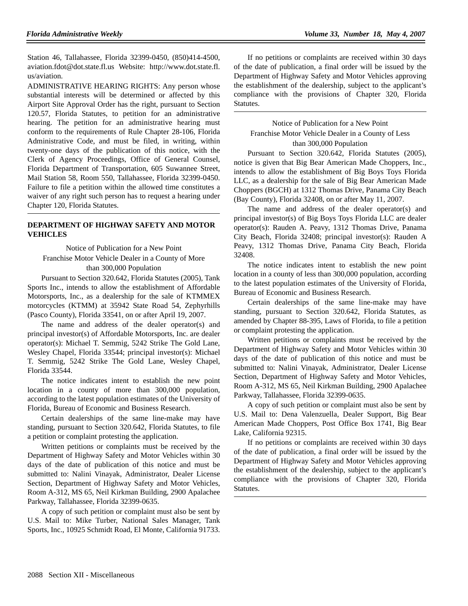Station 46, Tallahassee, Florida 32399-0450, (850)414-4500, aviation.fdot@dot.state.fl.us Website: http://www.dot.state.fl. us/aviation.

ADMINISTRATIVE HEARING RIGHTS: Any person whose substantial interests will be determined or affected by this Airport Site Approval Order has the right, pursuant to Section 120.57, Florida Statutes, to petition for an administrative hearing. The petition for an administrative hearing must conform to the requirements of Rule Chapter 28-106, Florida Administrative Code, and must be filed, in writing, within twenty-one days of the publication of this notice, with the Clerk of Agency Proceedings, Office of General Counsel, Florida Department of Transportation, 605 Suwannee Street, Mail Station 58, Room 550, Tallahassee, Florida 32399-0450. Failure to file a petition within the allowed time constitutes a waiver of any right such person has to request a hearing under Chapter 120, Florida Statutes.

## **DEPARTMENT OF HIGHWAY SAFETY AND MOTOR VEHICLES**

Notice of Publication for a New Point Franchise Motor Vehicle Dealer in a County of More than 300,000 Population

Pursuant to Section 320.642, Florida Statutes (2005), Tank Sports Inc., intends to allow the establishment of Affordable Motorsports, Inc., as a dealership for the sale of KTMMEX motorcycles (KTMM) at 35942 State Road 54, Zephyrhills (Pasco County), Florida 33541, on or after April 19, 2007.

The name and address of the dealer operator(s) and principal investor(s) of Affordable Motorsports, Inc. are dealer operator(s): Michael T. Semmig, 5242 Strike The Gold Lane, Wesley Chapel, Florida 33544; principal investor(s): Michael T. Semmig, 5242 Strike The Gold Lane, Wesley Chapel, Florida 33544.

The notice indicates intent to establish the new point location in a county of more than 300,000 population, according to the latest population estimates of the University of Florida, Bureau of Economic and Business Research.

Certain dealerships of the same line-make may have standing, pursuant to Section 320.642, Florida Statutes, to file a petition or complaint protesting the application.

Written petitions or complaints must be received by the Department of Highway Safety and Motor Vehicles within 30 days of the date of publication of this notice and must be submitted to: Nalini Vinayak, Administrator, Dealer License Section, Department of Highway Safety and Motor Vehicles, Room A-312, MS 65, Neil Kirkman Building, 2900 Apalachee Parkway, Tallahassee, Florida 32399-0635.

A copy of such petition or complaint must also be sent by U.S. Mail to: Mike Turber, National Sales Manager, Tank Sports, Inc., 10925 Schmidt Road, El Monte, California 91733.

If no petitions or complaints are received within 30 days of the date of publication, a final order will be issued by the Department of Highway Safety and Motor Vehicles approving the establishment of the dealership, subject to the applicant's compliance with the provisions of Chapter 320, Florida Statutes.

## Notice of Publication for a New Point Franchise Motor Vehicle Dealer in a County of Less than 300,000 Population

Pursuant to Section 320.642, Florida Statutes (2005), notice is given that Big Bear American Made Choppers, Inc., intends to allow the establishment of Big Boys Toys Florida LLC, as a dealership for the sale of Big Bear American Made Choppers (BGCH) at 1312 Thomas Drive, Panama City Beach (Bay County), Florida 32408, on or after May 11, 2007.

The name and address of the dealer operator(s) and principal investor(s) of Big Boys Toys Florida LLC are dealer operator(s): Rauden A. Peavy, 1312 Thomas Drive, Panama City Beach, Florida 32408; principal investor(s): Rauden A Peavy, 1312 Thomas Drive, Panama City Beach, Florida 32408.

The notice indicates intent to establish the new point location in a county of less than 300,000 population, according to the latest population estimates of the University of Florida, Bureau of Economic and Business Research.

Certain dealerships of the same line-make may have standing, pursuant to Section 320.642, Florida Statutes, as amended by Chapter 88-395, Laws of Florida, to file a petition or complaint protesting the application.

Written petitions or complaints must be received by the Department of Highway Safety and Motor Vehicles within 30 days of the date of publication of this notice and must be submitted to: Nalini Vinayak, Administrator, Dealer License Section, Department of Highway Safety and Motor Vehicles, Room A-312, MS 65, Neil Kirkman Building, 2900 Apalachee Parkway, Tallahassee, Florida 32399-0635.

A copy of such petition or complaint must also be sent by U.S. Mail to: Dena Valenzuella, Dealer Support, Big Bear American Made Choppers, Post Office Box 1741, Big Bear Lake, California 92315.

If no petitions or complaints are received within 30 days of the date of publication, a final order will be issued by the Department of Highway Safety and Motor Vehicles approving the establishment of the dealership, subject to the applicant's compliance with the provisions of Chapter 320, Florida Statutes.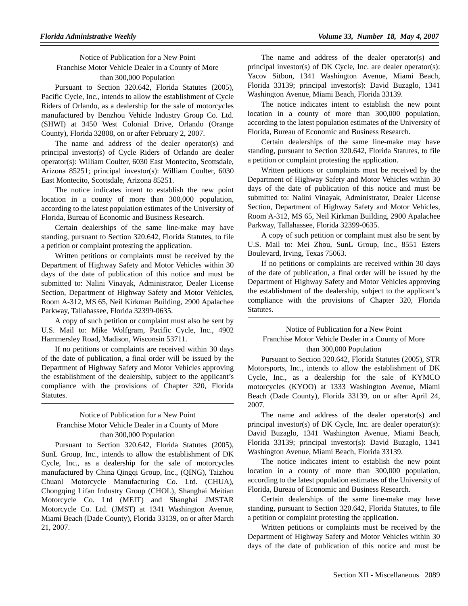## Notice of Publication for a New Point Franchise Motor Vehicle Dealer in a County of More than 300,000 Population

Pursuant to Section 320.642, Florida Statutes (2005), Pacific Cycle, Inc., intends to allow the establishment of Cycle Riders of Orlando, as a dealership for the sale of motorcycles manufactured by Benzhou Vehicle Industry Group Co. Ltd. (SHWI) at 3450 West Colonial Drive, Orlando (Orange County), Florida 32808, on or after February 2, 2007.

The name and address of the dealer operator(s) and principal investor(s) of Cycle Riders of Orlando are dealer operator(s): William Coulter, 6030 East Montecito, Scottsdale, Arizona 85251; principal investor(s): William Coulter, 6030 East Montecito, Scottsdale, Arizona 85251.

The notice indicates intent to establish the new point location in a county of more than 300,000 population, according to the latest population estimates of the University of Florida, Bureau of Economic and Business Research.

Certain dealerships of the same line-make may have standing, pursuant to Section 320.642, Florida Statutes, to file a petition or complaint protesting the application.

Written petitions or complaints must be received by the Department of Highway Safety and Motor Vehicles within 30 days of the date of publication of this notice and must be submitted to: Nalini Vinayak, Administrator, Dealer License Section, Department of Highway Safety and Motor Vehicles, Room A-312, MS 65, Neil Kirkman Building, 2900 Apalachee Parkway, Tallahassee, Florida 32399-0635.

A copy of such petition or complaint must also be sent by U.S. Mail to: Mike Wolfgram, Pacific Cycle, Inc., 4902 Hammersley Road, Madison, Wisconsin 53711.

If no petitions or complaints are received within 30 days of the date of publication, a final order will be issued by the Department of Highway Safety and Motor Vehicles approving the establishment of the dealership, subject to the applicant's compliance with the provisions of Chapter 320, Florida Statutes.

## Notice of Publication for a New Point Franchise Motor Vehicle Dealer in a County of More than 300,000 Population

Pursuant to Section 320.642, Florida Statutes (2005), SunL Group, Inc., intends to allow the establishment of DK Cycle, Inc., as a dealership for the sale of motorcycles manufactured by China Qingqi Group, Inc., (QING), Taizhou Chuanl Motorcycle Manufacturing Co. Ltd. (CHUA), Chongqing Lifan Industry Group (CHOL), Shanghai Meitian Motorcycle Co. Ltd (MEIT) and Shanghai JMSTAR Motorcycle Co. Ltd. (JMST) at 1341 Washington Avenue, Miami Beach (Dade County), Florida 33139, on or after March 21, 2007.

The name and address of the dealer operator(s) and principal investor(s) of DK Cycle, Inc. are dealer operator(s): Yacov Sitbon, 1341 Washington Avenue, Miami Beach, Florida 33139; principal investor(s): David Buzaglo, 1341 Washington Avenue, Miami Beach, Florida 33139.

The notice indicates intent to establish the new point location in a county of more than 300,000 population, according to the latest population estimates of the University of Florida, Bureau of Economic and Business Research.

Certain dealerships of the same line-make may have standing, pursuant to Section 320.642, Florida Statutes, to file a petition or complaint protesting the application.

Written petitions or complaints must be received by the Department of Highway Safety and Motor Vehicles within 30 days of the date of publication of this notice and must be submitted to: Nalini Vinayak, Administrator, Dealer License Section, Department of Highway Safety and Motor Vehicles, Room A-312, MS 65, Neil Kirkman Building, 2900 Apalachee Parkway, Tallahassee, Florida 32399-0635.

A copy of such petition or complaint must also be sent by U.S. Mail to: Mei Zhou, SunL Group, Inc., 8551 Esters Boulevard, Irving, Texas 75063.

If no petitions or complaints are received within 30 days of the date of publication, a final order will be issued by the Department of Highway Safety and Motor Vehicles approving the establishment of the dealership, subject to the applicant's compliance with the provisions of Chapter 320, Florida Statutes.

## Notice of Publication for a New Point Franchise Motor Vehicle Dealer in a County of More than 300,000 Population

Pursuant to Section 320.642, Florida Statutes (2005), STR Motorsports, Inc., intends to allow the establishment of DK Cycle, Inc., as a dealership for the sale of KYMCO motorcycles (KYOO) at 1333 Washington Avenue, Miami Beach (Dade County), Florida 33139, on or after April 24, 2007.

The name and address of the dealer operator(s) and principal investor(s) of DK Cycle, Inc. are dealer operator(s): David Buzaglo, 1341 Washington Avenue, Miami Beach, Florida 33139; principal investor(s): David Buzaglo, 1341 Washington Avenue, Miami Beach, Florida 33139.

The notice indicates intent to establish the new point location in a county of more than 300,000 population, according to the latest population estimates of the University of Florida, Bureau of Economic and Business Research.

Certain dealerships of the same line-make may have standing, pursuant to Section 320.642, Florida Statutes, to file a petition or complaint protesting the application.

Written petitions or complaints must be received by the Department of Highway Safety and Motor Vehicles within 30 days of the date of publication of this notice and must be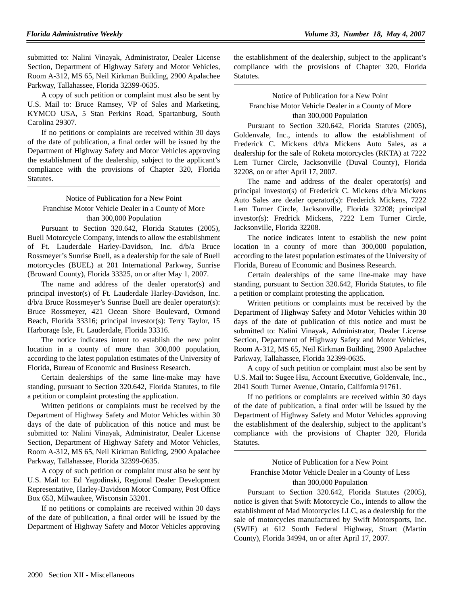submitted to: Nalini Vinayak, Administrator, Dealer License Section, Department of Highway Safety and Motor Vehicles, Room A-312, MS 65, Neil Kirkman Building, 2900 Apalachee Parkway, Tallahassee, Florida 32399-0635.

A copy of such petition or complaint must also be sent by U.S. Mail to: Bruce Ramsey, VP of Sales and Marketing, KYMCO USA, 5 Stan Perkins Road, Spartanburg, South Carolina 29307.

If no petitions or complaints are received within 30 days of the date of publication, a final order will be issued by the Department of Highway Safety and Motor Vehicles approving the establishment of the dealership, subject to the applicant's compliance with the provisions of Chapter 320, Florida Statutes.

## Notice of Publication for a New Point Franchise Motor Vehicle Dealer in a County of More than 300,000 Population

Pursuant to Section 320.642, Florida Statutes (2005), Buell Motorcycle Company, intends to allow the establishment of Ft. Lauderdale Harley-Davidson, Inc. d/b/a Bruce Rossmeyer's Sunrise Buell, as a dealership for the sale of Buell motorcycles (BUEL) at 201 International Parkway, Sunrise (Broward County), Florida 33325, on or after May 1, 2007.

The name and address of the dealer operator(s) and principal investor(s) of Ft. Lauderdale Harley-Davidson, Inc. d/b/a Bruce Rossmeyer's Sunrise Buell are dealer operator(s): Bruce Rossmeyer, 421 Ocean Shore Boulevard, Ormond Beach, Florida 33316; principal investor(s): Terry Taylor, 15 Harborage Isle, Ft. Lauderdale, Florida 33316.

The notice indicates intent to establish the new point location in a county of more than 300,000 population, according to the latest population estimates of the University of Florida, Bureau of Economic and Business Research.

Certain dealerships of the same line-make may have standing, pursuant to Section 320.642, Florida Statutes, to file a petition or complaint protesting the application.

Written petitions or complaints must be received by the Department of Highway Safety and Motor Vehicles within 30 days of the date of publication of this notice and must be submitted to: Nalini Vinayak, Administrator, Dealer License Section, Department of Highway Safety and Motor Vehicles, Room A-312, MS 65, Neil Kirkman Building, 2900 Apalachee Parkway, Tallahassee, Florida 32399-0635.

A copy of such petition or complaint must also be sent by U.S. Mail to: Ed Yagodinski, Regional Dealer Development Representative, Harley-Davidson Motor Company, Post Office Box 653, Milwaukee, Wisconsin 53201.

If no petitions or complaints are received within 30 days of the date of publication, a final order will be issued by the Department of Highway Safety and Motor Vehicles approving the establishment of the dealership, subject to the applicant's compliance with the provisions of Chapter 320, Florida Statutes.

## Notice of Publication for a New Point Franchise Motor Vehicle Dealer in a County of More than 300,000 Population

Pursuant to Section 320.642, Florida Statutes (2005), Goldenvale, Inc., intends to allow the establishment of Frederick C. Mickens d/b/a Mickens Auto Sales, as a dealership for the sale of Roketa motorcycles (RKTA) at 7222 Lem Turner Circle, Jacksonville (Duval County), Florida 32208, on or after April 17, 2007.

The name and address of the dealer operator(s) and principal investor(s) of Frederick C. Mickens d/b/a Mickens Auto Sales are dealer operator(s): Frederick Mickens, 7222 Lem Turner Circle, Jacksonville, Florida 32208; principal investor(s): Fredrick Mickens, 7222 Lem Turner Circle, Jacksonville, Florida 32208.

The notice indicates intent to establish the new point location in a county of more than 300,000 population, according to the latest population estimates of the University of Florida, Bureau of Economic and Business Research.

Certain dealerships of the same line-make may have standing, pursuant to Section 320.642, Florida Statutes, to file a petition or complaint protesting the application.

Written petitions or complaints must be received by the Department of Highway Safety and Motor Vehicles within 30 days of the date of publication of this notice and must be submitted to: Nalini Vinayak, Administrator, Dealer License Section, Department of Highway Safety and Motor Vehicles, Room A-312, MS 65, Neil Kirkman Building, 2900 Apalachee Parkway, Tallahassee, Florida 32399-0635.

A copy of such petition or complaint must also be sent by U.S. Mail to: Sugee Hsu, Account Executive, Goldenvale, Inc., 2041 South Turner Avenue, Ontario, California 91761.

If no petitions or complaints are received within 30 days of the date of publication, a final order will be issued by the Department of Highway Safety and Motor Vehicles approving the establishment of the dealership, subject to the applicant's compliance with the provisions of Chapter 320, Florida Statutes.

Notice of Publication for a New Point Franchise Motor Vehicle Dealer in a County of Less than 300,000 Population

Pursuant to Section 320.642, Florida Statutes (2005), notice is given that Swift Motorcycle Co., intends to allow the establishment of Mad Motorcycles LLC, as a dealership for the sale of motorcycles manufactured by Swift Motorsports, Inc. (SWIF) at 612 South Federal Highway, Stuart (Martin County), Florida 34994, on or after April 17, 2007.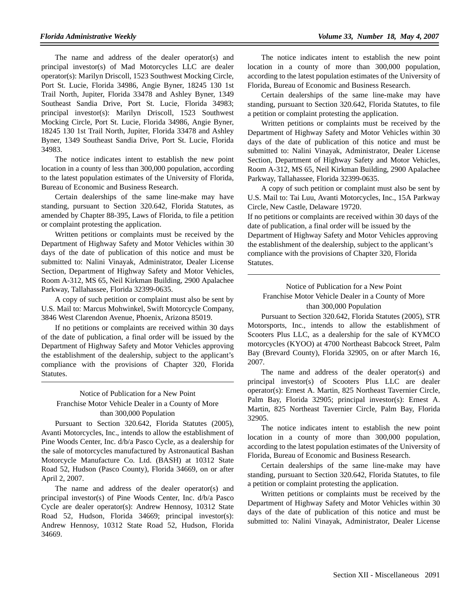The name and address of the dealer operator(s) and principal investor(s) of Mad Motorcycles LLC are dealer operator(s): Marilyn Driscoll, 1523 Southwest Mocking Circle, Port St. Lucie, Florida 34986, Angie Byner, 18245 130 1st Trail North, Jupiter, Florida 33478 and Ashley Byner, 1349 Southeast Sandia Drive, Port St. Lucie, Florida 34983; principal investor(s): Marilyn Driscoll, 1523 Southwest Mocking Circle, Port St. Lucie, Florida 34986, Angie Byner, 18245 130 1st Trail North, Jupiter, Florida 33478 and Ashley Byner, 1349 Southeast Sandia Drive, Port St. Lucie, Florida 34983.

The notice indicates intent to establish the new point location in a county of less than 300,000 population, according to the latest population estimates of the University of Florida, Bureau of Economic and Business Research.

Certain dealerships of the same line-make may have standing, pursuant to Section 320.642, Florida Statutes, as amended by Chapter 88-395, Laws of Florida, to file a petition or complaint protesting the application.

Written petitions or complaints must be received by the Department of Highway Safety and Motor Vehicles within 30 days of the date of publication of this notice and must be submitted to: Nalini Vinayak, Administrator, Dealer License Section, Department of Highway Safety and Motor Vehicles, Room A-312, MS 65, Neil Kirkman Building, 2900 Apalachee Parkway, Tallahassee, Florida 32399-0635.

A copy of such petition or complaint must also be sent by U.S. Mail to: Marcus Mohwinkel, Swift Motorcycle Company, 3846 West Clarendon Avenue, Phoenix, Arizona 85019.

If no petitions or complaints are received within 30 days of the date of publication, a final order will be issued by the Department of Highway Safety and Motor Vehicles approving the establishment of the dealership, subject to the applicant's compliance with the provisions of Chapter 320, Florida Statutes.

## Notice of Publication for a New Point Franchise Motor Vehicle Dealer in a County of More

# than 300,000 Population

Pursuant to Section 320.642, Florida Statutes (2005), Avanti Motorcycles, Inc., intends to allow the establishment of Pine Woods Center, Inc. d/b/a Pasco Cycle, as a dealership for the sale of motorcycles manufactured by Astronautical Bashan Motorcycle Manufacture Co. Ltd. (BASH) at 10312 State Road 52, Hudson (Pasco County), Florida 34669, on or after April 2, 2007.

The name and address of the dealer operator(s) and principal investor(s) of Pine Woods Center, Inc. d/b/a Pasco Cycle are dealer operator(s): Andrew Hennosy, 10312 State Road 52, Hudson, Florida 34669; principal investor(s): Andrew Hennosy, 10312 State Road 52, Hudson, Florida 34669.

The notice indicates intent to establish the new point location in a county of more than 300,000 population, according to the latest population estimates of the University of Florida, Bureau of Economic and Business Research.

Certain dealerships of the same line-make may have standing, pursuant to Section 320.642, Florida Statutes, to file a petition or complaint protesting the application.

Written petitions or complaints must be received by the Department of Highway Safety and Motor Vehicles within 30 days of the date of publication of this notice and must be submitted to: Nalini Vinayak, Administrator, Dealer License Section, Department of Highway Safety and Motor Vehicles, Room A-312, MS 65, Neil Kirkman Building, 2900 Apalachee Parkway, Tallahassee, Florida 32399-0635.

A copy of such petition or complaint must also be sent by U.S. Mail to: Tai Luu, Avanti Motorcycles, Inc., 15A Parkway Circle, New Castle, Delaware 19720.

If no petitions or complaints are received within 30 days of the date of publication, a final order will be issued by the Department of Highway Safety and Motor Vehicles approving the establishment of the dealership, subject to the applicant's compliance with the provisions of Chapter 320, Florida Statutes.

## Notice of Publication for a New Point Franchise Motor Vehicle Dealer in a County of More than 300,000 Population

Pursuant to Section 320.642, Florida Statutes (2005), STR Motorsports, Inc., intends to allow the establishment of Scooters Plus LLC, as a dealership for the sale of KYMCO motorcycles (KYOO) at 4700 Northeast Babcock Street, Palm Bay (Brevard County), Florida 32905, on or after March 16, 2007.

The name and address of the dealer operator(s) and principal investor(s) of Scooters Plus LLC are dealer operator(s): Ernest A. Martin, 825 Northeast Tavernier Circle, Palm Bay, Florida 32905; principal investor(s): Ernest A. Martin, 825 Northeast Tavernier Circle, Palm Bay, Florida 32905.

The notice indicates intent to establish the new point location in a county of more than 300,000 population, according to the latest population estimates of the University of Florida, Bureau of Economic and Business Research.

Certain dealerships of the same line-make may have standing, pursuant to Section 320.642, Florida Statutes, to file a petition or complaint protesting the application.

Written petitions or complaints must be received by the Department of Highway Safety and Motor Vehicles within 30 days of the date of publication of this notice and must be submitted to: Nalini Vinayak, Administrator, Dealer License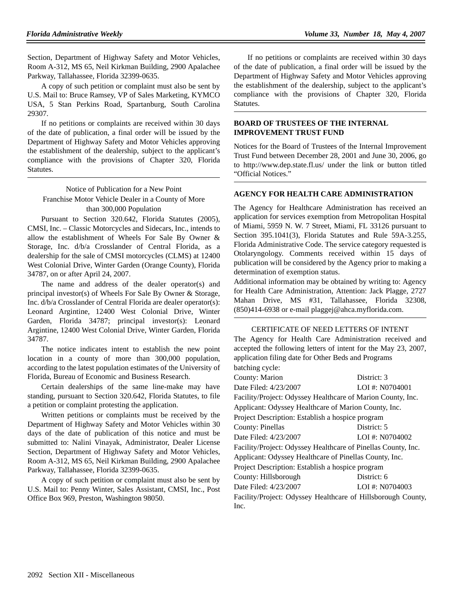Section, Department of Highway Safety and Motor Vehicles, Room A-312, MS 65, Neil Kirkman Building, 2900 Apalachee Parkway, Tallahassee, Florida 32399-0635.

A copy of such petition or complaint must also be sent by U.S. Mail to: Bruce Ramsey, VP of Sales Marketing, KYMCO USA, 5 Stan Perkins Road, Spartanburg, South Carolina 29307.

If no petitions or complaints are received within 30 days of the date of publication, a final order will be issued by the Department of Highway Safety and Motor Vehicles approving the establishment of the dealership, subject to the applicant's compliance with the provisions of Chapter 320, Florida Statutes.

Notice of Publication for a New Point Franchise Motor Vehicle Dealer in a County of More than 300,000 Population

Pursuant to Section 320.642, Florida Statutes (2005), CMSI, Inc. – Classic Motorcycles and Sidecars, Inc., intends to allow the establishment of Wheels For Sale By Owner & Storage, Inc. d/b/a Crosslander of Central Florida, as a dealership for the sale of CMSI motorcycles (CLMS) at 12400 West Colonial Drive, Winter Garden (Orange County), Florida 34787, on or after April 24, 2007.

The name and address of the dealer operator(s) and principal investor(s) of Wheels For Sale By Owner & Storage, Inc. d/b/a Crosslander of Central Florida are dealer operator(s): Leonard Argintine, 12400 West Colonial Drive, Winter Garden, Florida 34787; principal investor(s): Leonard Argintine, 12400 West Colonial Drive, Winter Garden, Florida 34787.

The notice indicates intent to establish the new point location in a county of more than 300,000 population, according to the latest population estimates of the University of Florida, Bureau of Economic and Business Research.

Certain dealerships of the same line-make may have standing, pursuant to Section 320.642, Florida Statutes, to file a petition or complaint protesting the application.

Written petitions or complaints must be received by the Department of Highway Safety and Motor Vehicles within 30 days of the date of publication of this notice and must be submitted to: Nalini Vinayak, Administrator, Dealer License Section, Department of Highway Safety and Motor Vehicles, Room A-312, MS 65, Neil Kirkman Building, 2900 Apalachee Parkway, Tallahassee, Florida 32399-0635.

A copy of such petition or complaint must also be sent by U.S. Mail to: Penny Winter, Sales Assistant, CMSI, Inc., Post Office Box 969, Preston, Washington 98050.

If no petitions or complaints are received within 30 days of the date of publication, a final order will be issued by the Department of Highway Safety and Motor Vehicles approving the establishment of the dealership, subject to the applicant's compliance with the provisions of Chapter 320, Florida Statutes.

## **BOARD OF TRUSTEES OF THE INTERNAL IMPROVEMENT TRUST FUND**

Notices for the Board of Trustees of the Internal Improvement Trust Fund between December 28, 2001 and June 30, 2006, go to http://www.dep.state.fl.us/ under the link or button titled "Official Notices."

### **AGENCY FOR HEALTH CARE ADMINISTRATION**

The Agency for Healthcare Administration has received an application for services exemption from Metropolitan Hospital of Miami, 5959 N. W. 7 Street, Miami, FL 33126 pursuant to Section 395.1041(3), Florida Statutes and Rule 59A-3.255, Florida Administrative Code. The service category requested is Otolaryngology. Comments received within 15 days of publication will be considered by the Agency prior to making a determination of exemption status.

Additional information may be obtained by writing to: Agency for Health Care Administration, Attention: Jack Plagge, 2727 Mahan Drive, MS #31, Tallahassee, Florida 32308, (850)414-6938 or e-mail plaggej@ahca.myflorida.com.

#### CERTIFICATE OF NEED LETTERS OF INTENT

The Agency for Health Care Administration received and accepted the following letters of intent for the May 23, 2007, application filing date for Other Beds and Programs batching cycle:

| County: Marion                                               | District: 3                                                   |  |  |  |
|--------------------------------------------------------------|---------------------------------------------------------------|--|--|--|
| Date Filed: 4/23/2007                                        | LOI #: N0704001                                               |  |  |  |
| Facility/Project: Odyssey Healthcare of Marion County, Inc.  |                                                               |  |  |  |
| Applicant: Odyssey Healthcare of Marion County, Inc.         |                                                               |  |  |  |
| Project Description: Establish a hospice program             |                                                               |  |  |  |
| County: Pinellas                                             | District: 5                                                   |  |  |  |
| Date Filed: 4/23/2007                                        | LOI #: N0704002                                               |  |  |  |
|                                                              | Facility/Project: Odyssey Healthcare of Pinellas County, Inc. |  |  |  |
| Applicant: Odyssey Healthcare of Pinellas County, Inc.       |                                                               |  |  |  |
| Project Description: Establish a hospice program             |                                                               |  |  |  |
| County: Hillsborough                                         | District: 6                                                   |  |  |  |
| Date Filed: 4/23/2007                                        | LOI #: N0704003                                               |  |  |  |
| Facility/Project: Odyssey Healthcare of Hillsborough County, |                                                               |  |  |  |
| Inc.                                                         |                                                               |  |  |  |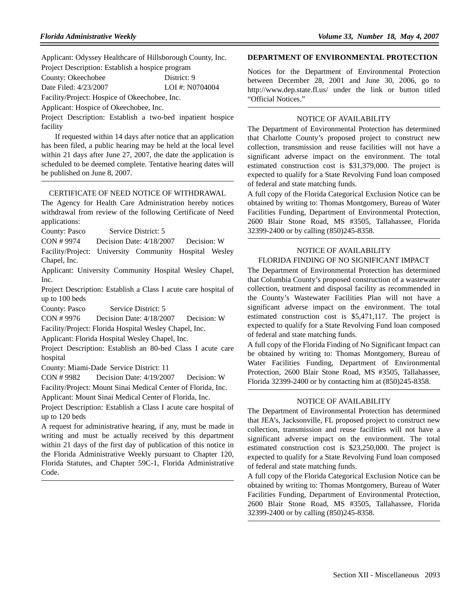Applicant: Odyssey Healthcare of Hillsborough County, Inc. Project Description: Establish a hospice program

| County: Okeechobee                            | District: 9       |  |  |  |
|-----------------------------------------------|-------------------|--|--|--|
| Date Filed: 4/23/2007                         | LOI #: $N0704004$ |  |  |  |
| Facility/Project: Hospice of Okeechobee, Inc. |                   |  |  |  |

Applicant: Hospice of Okeechobee, Inc.

Project Description: Establish a two-bed inpatient hospice facility

If requested within 14 days after notice that an application has been filed, a public hearing may be held at the local level within 21 days after June 27, 2007, the date the application is scheduled to be deemed complete. Tentative hearing dates will be published on June 8, 2007.

#### CERTIFICATE OF NEED NOTICE OF WITHDRAWAL

The Agency for Health Care Administration hereby notices withdrawal from review of the following Certificate of Need applications:

County: Pasco Service District: 5

CON # 9974 Decision Date: 4/18/2007 Decision: W

Facility/Project: University Community Hospital Wesley Chapel, Inc.

Applicant: University Community Hospital Wesley Chapel, Inc.

Project Description: Establish a Class I acute care hospital of up to 100 beds

County: Pasco Service District: 5

CON # 9976 Decision Date: 4/18/2007 Decision: W Facility/Project: Florida Hospital Wesley Chapel, Inc.

Applicant: Florida Hospital Wesley Chapel, Inc.

Project Description: Establish an 80-bed Class I acute care hospital

County: Miami-Dade Service District: 11

CON # 9982 Decision Date: 4/19/2007 Decision: W

Facility/Project: Mount Sinai Medical Center of Florida, Inc. Applicant: Mount Sinai Medical Center of Florida, Inc.

Project Description: Establish a Class I acute care hospital of up to 120 beds

A request for administrative hearing, if any, must be made in writing and must be actually received by this department within 21 days of the first day of publication of this notice in the Florida Administrative Weekly pursuant to Chapter 120, Florida Statutes, and Chapter 59C-1, Florida Administrative Code.

#### **DEPARTMENT OF ENVIRONMENTAL PROTECTION**

Notices for the Department of Environmental Protection between December 28, 2001 and June 30, 2006, go to http://www.dep.state.fl.us/ under the link or button titled "Official Notices."

#### NOTICE OF AVAILABILITY

The Department of Environmental Protection has determined that Charlotte County's proposed project to construct new collection, transmission and reuse facilities will not have a significant adverse impact on the environment. The total estimated construction cost is \$31,379,000. The project is expected to qualify for a State Revolving Fund loan composed of federal and state matching funds.

A full copy of the Florida Categorical Exclusion Notice can be obtained by writing to: Thomas Montgomery, Bureau of Water Facilities Funding, Department of Environmental Protection, 2600 Blair Stone Road, MS #3505, Tallahassee, Florida 32399-2400 or by calling (850)245-8358.

#### NOTICE OF AVAILABILITY FLORIDA FINDING OF NO SIGNIFICANT IMPACT

The Department of Environmental Protection has determined that Columbia County's proposed construction of a wastewater collection, treatment and disposal facility as recommended in the County's Wastewater Facilities Plan will not have a significant adverse impact on the environment. The total estimated construction cost is \$5,471,117. The project is expected to qualify for a State Revolving Fund loan composed of federal and state matching funds.

A full copy of the Florida Finding of No Significant Impact can be obtained by writing to: Thomas Montgomery, Bureau of Water Facilities Funding, Department of Environmental Protection, 2600 Blair Stone Road, MS #3505, Tallahassee, Florida 32399-2400 or by contacting him at (850)245-8358.

#### NOTICE OF AVAILABILITY

The Department of Environmental Protection has determined that JEA's, Jacksonville, FL proposed project to construct new collection, transmission and reuse facilities will not have a significant adverse impact on the environment. The total estimated construction cost is \$23,250,000. The project is expected to qualify for a State Revolving Fund loan composed of federal and state matching funds.

A full copy of the Florida Categorical Exclusion Notice can be obtained by writing to: Thomas Montgomery, Bureau of Water Facilities Funding, Department of Environmental Protection, 2600 Blair Stone Road, MS #3505, Tallahassee, Florida 32399-2400 or by calling (850)245-8358.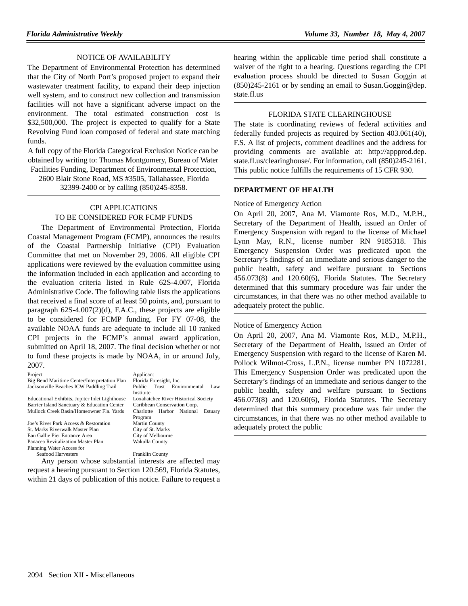#### NOTICE OF AVAILABILITY

The Department of Environmental Protection has determined that the City of North Port's proposed project to expand their wastewater treatment facility, to expand their deep injection well system, and to construct new collection and transmission facilities will not have a significant adverse impact on the environment. The total estimated construction cost is \$32,500,000. The project is expected to qualify for a State Revolving Fund loan composed of federal and state matching funds.

A full copy of the Florida Categorical Exclusion Notice can be obtained by writing to: Thomas Montgomery, Bureau of Water Facilities Funding, Department of Environmental Protection,

2600 Blair Stone Road, MS #3505, Tallahassee, Florida

32399-2400 or by calling (850)245-8358.

### CPI APPLICATIONS

## TO BE CONSIDERED FOR FCMP FUNDS

The Department of Environmental Protection, Florida Coastal Management Program (FCMP), announces the results of the Coastal Partnership Initiative (CPI) Evaluation Committee that met on November 29, 2006. All eligible CPI applications were reviewed by the evaluation committee using the information included in each application and according to the evaluation criteria listed in Rule 62S-4.007, Florida Administrative Code. The following table lists the applications that received a final score of at least 50 points, and, pursuant to paragraph 62S-4.007(2)(d), F.A.C., these projects are eligible to be considered for FCMP funding. For FY 07-08, the available NOAA funds are adequate to include all 10 ranked CPI projects in the FCMP's annual award application, submitted on April 18, 2007. The final decision whether or not to fund these projects is made by NOAA, in or around July, 2007.

Project Applicant Big Bend Maritime Center/Interpretation Plan Florida Foresight, Inc. Jacksonville Beaches ICW Paddling Trail Public Trust Environmental Law

Educational Exhibits, Jupiter Inlet Lighthouse Loxahatchee River Historical Sparier Island Sanctuary & Education Center Caribbean Conservation Corp. Barrier Island Sanctuary & Education Center Mullock Creek Basin/Homeowner Fla. Yards Charlotte Harbor National Estuary

Joe's River Park Access & Restoration St. Marks Riverwalk Master Plan City of St. Marks<br>
Eau Gallie Pier Entrance Area City of Melbourne Eau Gallie Pier Entrance Area City of Melbourn<br>
Panacea Revitalization Master Plan Wakulla County Panacea Revitalization Master Plan Planning Water Access for Seafood Harvesters Franklin County

Institute<br>Loxahatchee River Historical Society Program<br>Martin County

Any person whose substantial interests are affected may request a hearing pursuant to Section 120.569, Florida Statutes, within 21 days of publication of this notice. Failure to request a hearing within the applicable time period shall constitute a waiver of the right to a hearing. Questions regarding the CPI evaluation process should be directed to Susan Goggin at (850)245-2161 or by sending an email to Susan.Goggin@dep. state.fl.us

### FLORIDA STATE CLEARINGHOUSE

The state is coordinating reviews of federal activities and federally funded projects as required by Section 403.061(40), F.S. A list of projects, comment deadlines and the address for providing comments are available at: http://appprod.dep. state.fl.us/clearinghouse/. For information, call (850)245-2161. This public notice fulfills the requirements of 15 CFR 930.

#### **DEPARTMENT OF HEALTH**

#### Notice of Emergency Action

On April 20, 2007, Ana M. Viamonte Ros, M.D., M.P.H., Secretary of the Department of Health, issued an Order of Emergency Suspension with regard to the license of Michael Lynn May, R.N., license number RN 9185318. This Emergency Suspension Order was predicated upon the Secretary's findings of an immediate and serious danger to the public health, safety and welfare pursuant to Sections 456.073(8) and 120.60(6), Florida Statutes. The Secretary determined that this summary procedure was fair under the circumstances, in that there was no other method available to adequately protect the public.

#### Notice of Emergency Action

On April 20, 2007, Ana M. Viamonte Ros, M.D., M.P.H., Secretary of the Department of Health, issued an Order of Emergency Suspension with regard to the license of Karen M. Pollock Wilmot-Cross, L.P.N., license number PN 1072281. This Emergency Suspension Order was predicated upon the Secretary's findings of an immediate and serious danger to the public health, safety and welfare pursuant to Sections 456.073(8) and 120.60(6), Florida Statutes. The Secretary determined that this summary procedure was fair under the circumstances, in that there was no other method available to adequately protect the public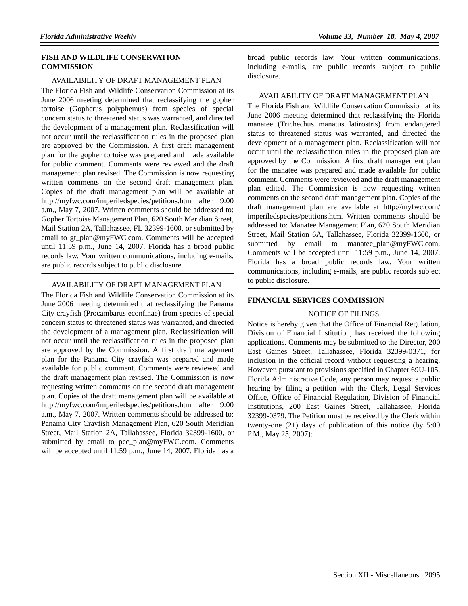### **FISH AND WILDLIFE CONSERVATION COMMISSION**

#### AVAILABILITY OF DRAFT MANAGEMENT PLAN

The Florida Fish and Wildlife Conservation Commission at its June 2006 meeting determined that reclassifying the gopher tortoise (Gopherus polyphemus) from species of special concern status to threatened status was warranted, and directed the development of a management plan. Reclassification will not occur until the reclassification rules in the proposed plan are approved by the Commission. A first draft management plan for the gopher tortoise was prepared and made available for public comment. Comments were reviewed and the draft management plan revised. The Commission is now requesting written comments on the second draft management plan. Copies of the draft management plan will be available at http://myfwc.com/imperiledspecies/petitions.htm after 9:00 a.m., May 7, 2007. Written comments should be addressed to: Gopher Tortoise Management Plan, 620 South Meridian Street, Mail Station 2A, Tallahassee, FL 32399-1600, or submitted by email to gt\_plan@myFWC.com. Comments will be accepted until 11:59 p.m., June 14, 2007. Florida has a broad public records law. Your written communications, including e-mails, are public records subject to public disclosure.

#### AVAILABILITY OF DRAFT MANAGEMENT PLAN

The Florida Fish and Wildlife Conservation Commission at its June 2006 meeting determined that reclassifying the Panama City crayfish (Procambarus econfinae) from species of special concern status to threatened status was warranted, and directed the development of a management plan. Reclassification will not occur until the reclassification rules in the proposed plan are approved by the Commission. A first draft management plan for the Panama City crayfish was prepared and made available for public comment. Comments were reviewed and the draft management plan revised. The Commission is now requesting written comments on the second draft management plan. Copies of the draft management plan will be available at http://myfwc.com/imperiledspecies/petitions.htm after 9:00 a.m., May 7, 2007. Written comments should be addressed to: Panama City Crayfish Management Plan, 620 South Meridian Street, Mail Station 2A, Tallahassee, Florida 32399-1600, or submitted by email to pcc\_plan@myFWC.com. Comments will be accepted until 11:59 p.m., June 14, 2007. Florida has a broad public records law. Your written communications, including e-mails, are public records subject to public disclosure.

#### AVAILABILITY OF DRAFT MANAGEMENT PLAN

The Florida Fish and Wildlife Conservation Commission at its June 2006 meeting determined that reclassifying the Florida manatee (Trichechus manatus latirostris) from endangered status to threatened status was warranted, and directed the development of a management plan. Reclassification will not occur until the reclassification rules in the proposed plan are approved by the Commission. A first draft management plan for the manatee was prepared and made available for public comment. Comments were reviewed and the draft management plan edited. The Commission is now requesting written comments on the second draft management plan. Copies of the draft management plan are available at http://myfwc.com/ imperiledspecies/petitions.htm. Written comments should be addressed to: Manatee Management Plan, 620 South Meridian Street, Mail Station 6A, Tallahassee, Florida 32399-1600, or submitted by email to manatee\_plan@myFWC.com. Comments will be accepted until 11:59 p.m., June 14, 2007. Florida has a broad public records law. Your written communications, including e-mails, are public records subject to public disclosure.

#### **FINANCIAL SERVICES COMMISSION**

#### NOTICE OF FILINGS

Notice is hereby given that the Office of Financial Regulation, Division of Financial Institution, has received the following applications. Comments may be submitted to the Director, 200 East Gaines Street, Tallahassee, Florida 32399-0371, for inclusion in the official record without requesting a hearing. However, pursuant to provisions specified in Chapter 69U-105, Florida Administrative Code, any person may request a public hearing by filing a petition with the Clerk, Legal Services Office, Office of Financial Regulation, Division of Financial Institutions, 200 East Gaines Street, Tallahassee, Florida 32399-0379. The Petition must be received by the Clerk within twenty-one (21) days of publication of this notice (by 5:00 P.M., May 25, 2007):